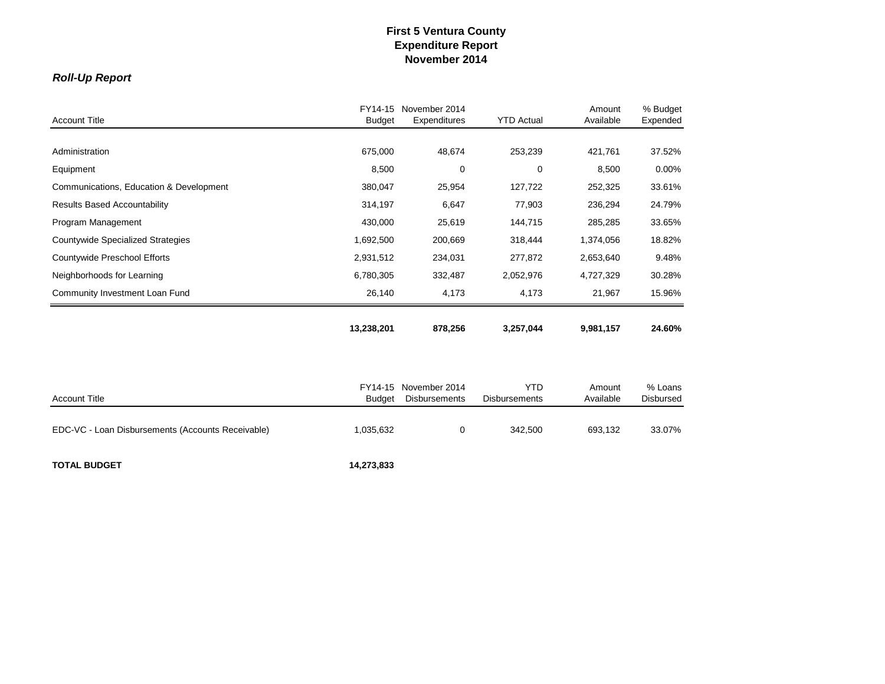# *Roll-Up Report*

| <b>Account Title</b>                              | FY14-15<br><b>Budget</b> | November 2014<br>Expenditures | <b>YTD Actual</b>    | Amount<br>Available | % Budget<br>Expended |
|---------------------------------------------------|--------------------------|-------------------------------|----------------------|---------------------|----------------------|
|                                                   |                          |                               |                      |                     |                      |
| Administration                                    | 675,000                  | 48,674                        | 253,239              | 421,761             | 37.52%               |
| Equipment                                         | 8,500                    | 0                             | 0                    | 8,500               | 0.00%                |
| Communications, Education & Development           | 380,047                  | 25,954                        | 127,722              | 252,325             | 33.61%               |
| <b>Results Based Accountability</b>               | 314,197                  | 6,647                         | 77,903               | 236,294             | 24.79%               |
| Program Management                                | 430,000                  | 25,619                        | 144,715              | 285,285             | 33.65%               |
| Countywide Specialized Strategies                 | 1,692,500                | 200,669                       | 318,444              | 1,374,056           | 18.82%               |
| Countywide Preschool Efforts                      | 2,931,512                | 234,031                       | 277,872              | 2,653,640           | 9.48%                |
| Neighborhoods for Learning                        | 6,780,305                | 332,487                       | 2,052,976            | 4,727,329           | 30.28%               |
| Community Investment Loan Fund                    | 26,140                   | 4,173                         | 4,173                | 21,967              | 15.96%               |
|                                                   | 13,238,201               | 878,256                       | 3,257,044            | 9,981,157           | 24.60%               |
|                                                   |                          |                               |                      |                     |                      |
|                                                   | FY14-15                  | November 2014                 | <b>YTD</b>           | Amount              | % Loans              |
| <b>Account Title</b>                              | <b>Budget</b>            | <b>Disbursements</b>          | <b>Disbursements</b> | Available           | Disbursed            |
| EDC-VC - Loan Disbursements (Accounts Receivable) | 1,035,632                | $\mathbf 0$                   | 342,500              | 693,132             | 33.07%               |

**TOTAL BUDGET 14,273,833**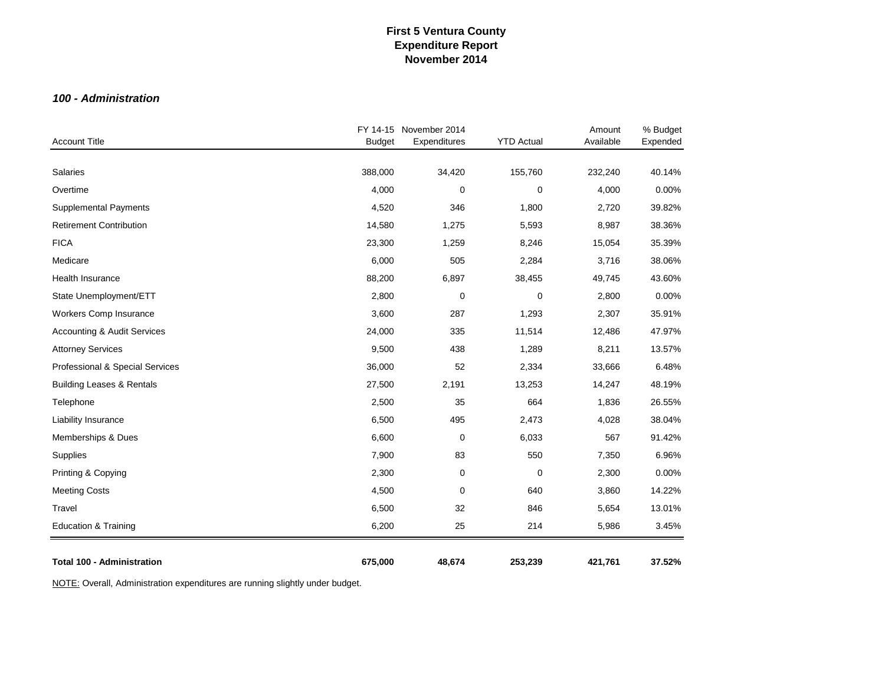### *100 - Administration*

| <b>Account Title</b>                   | <b>Budget</b> | FY 14-15 November 2014<br>Expenditures | <b>YTD Actual</b> | Amount<br>Available | % Budget<br>Expended |
|----------------------------------------|---------------|----------------------------------------|-------------------|---------------------|----------------------|
|                                        |               |                                        |                   |                     |                      |
| Salaries                               | 388,000       | 34,420                                 | 155,760           | 232,240             | 40.14%               |
| Overtime                               | 4,000         | $\mathbf 0$                            | 0                 | 4,000               | 0.00%                |
| <b>Supplemental Payments</b>           | 4,520         | 346                                    | 1,800             | 2,720               | 39.82%               |
| <b>Retirement Contribution</b>         | 14,580        | 1,275                                  | 5,593             | 8,987               | 38.36%               |
| <b>FICA</b>                            | 23,300        | 1,259                                  | 8,246             | 15,054              | 35.39%               |
| Medicare                               | 6,000         | 505                                    | 2,284             | 3,716               | 38.06%               |
| Health Insurance                       | 88,200        | 6,897                                  | 38,455            | 49,745              | 43.60%               |
| State Unemployment/ETT                 | 2,800         | $\mathbf 0$                            | 0                 | 2,800               | 0.00%                |
| Workers Comp Insurance                 | 3,600         | 287                                    | 1,293             | 2,307               | 35.91%               |
| <b>Accounting &amp; Audit Services</b> | 24,000        | 335                                    | 11,514            | 12,486              | 47.97%               |
| <b>Attorney Services</b>               | 9,500         | 438                                    | 1,289             | 8,211               | 13.57%               |
| Professional & Special Services        | 36,000        | 52                                     | 2,334             | 33,666              | 6.48%                |
| <b>Building Leases &amp; Rentals</b>   | 27,500        | 2,191                                  | 13,253            | 14,247              | 48.19%               |
| Telephone                              | 2,500         | 35                                     | 664               | 1,836               | 26.55%               |
| Liability Insurance                    | 6,500         | 495                                    | 2,473             | 4,028               | 38.04%               |
| Memberships & Dues                     | 6,600         | $\mathbf 0$                            | 6,033             | 567                 | 91.42%               |
| Supplies                               | 7,900         | 83                                     | 550               | 7,350               | 6.96%                |
| Printing & Copying                     | 2,300         | $\pmb{0}$                              | 0                 | 2,300               | 0.00%                |
| <b>Meeting Costs</b>                   | 4,500         | $\mathbf 0$                            | 640               | 3,860               | 14.22%               |
| Travel                                 | 6,500         | 32                                     | 846               | 5,654               | 13.01%               |
| <b>Education &amp; Training</b>        | 6,200         | 25                                     | 214               | 5,986               | 3.45%                |
| <b>Total 100 - Administration</b>      | 675,000       | 48,674                                 | 253,239           | 421,761             | 37.52%               |

NOTE: Overall, Administration expenditures are running slightly under budget.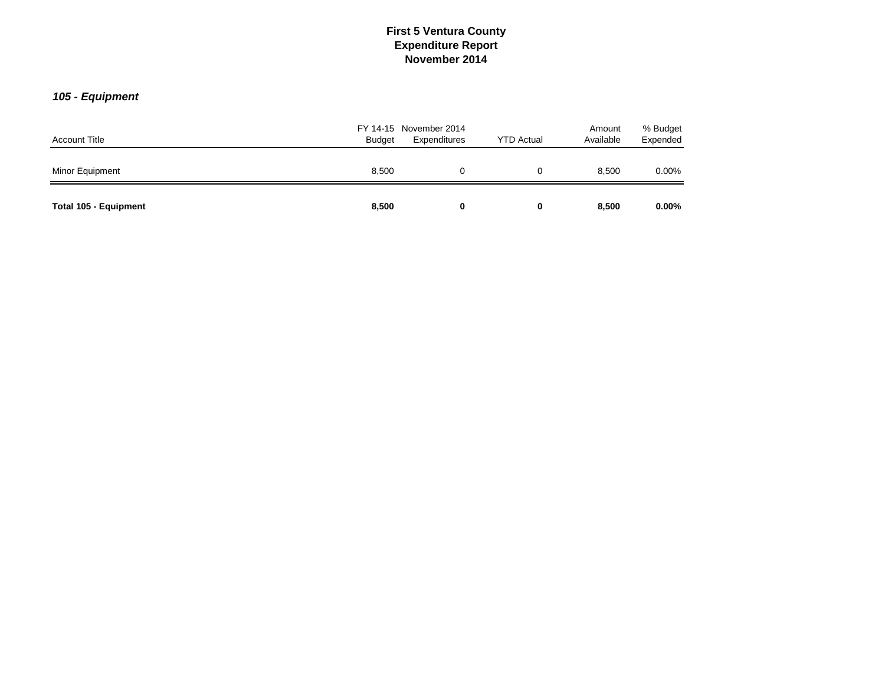# *105 - Equipment*

| <b>Account Title</b>  | <b>Budget</b> | FY 14-15 November 2014<br>Expenditures | <b>YTD Actual</b> | Amount<br>Available | % Budget<br>Expended |
|-----------------------|---------------|----------------------------------------|-------------------|---------------------|----------------------|
| Minor Equipment       | 8,500         | 0                                      | 0                 | 8.500               | $0.00\%$             |
| Total 105 - Equipment | 8,500         | 0                                      | 0                 | 8,500               | $0.00\%$             |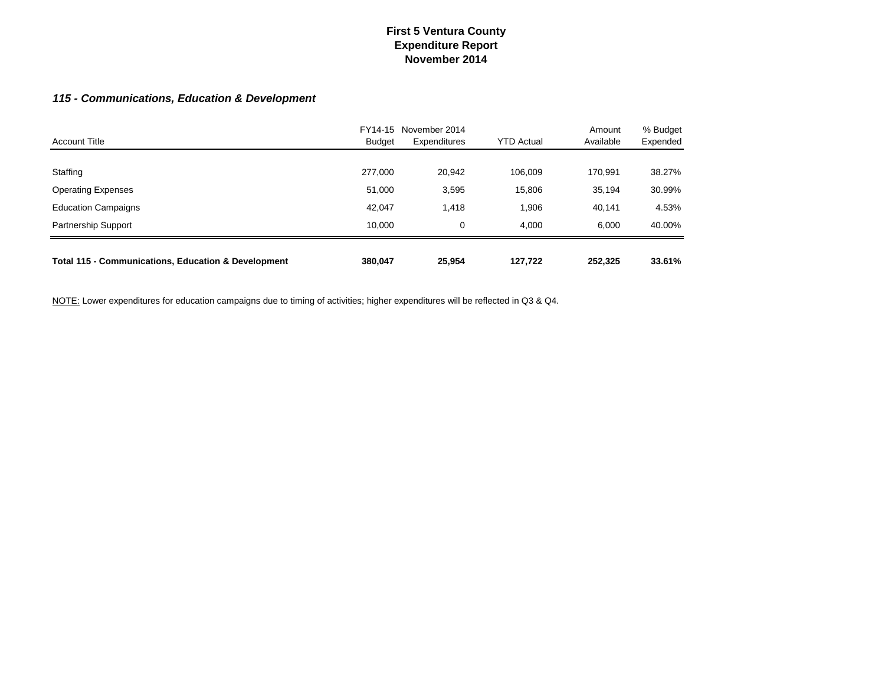# *115 - Communications, Education & Development*

| <b>Account Title</b>                                           | FY14-15<br><b>Budget</b> | November 2014<br>Expenditures | <b>YTD Actual</b> | Amount<br>Available | % Budget<br>Expended |
|----------------------------------------------------------------|--------------------------|-------------------------------|-------------------|---------------------|----------------------|
|                                                                |                          |                               |                   |                     |                      |
| Staffing                                                       | 277,000                  | 20,942                        | 106.009           | 170,991             | 38.27%               |
| <b>Operating Expenses</b>                                      | 51,000                   | 3,595                         | 15,806            | 35,194              | 30.99%               |
| <b>Education Campaigns</b>                                     | 42,047                   | 1,418                         | 1,906             | 40,141              | 4.53%                |
| Partnership Support                                            | 10.000                   | 0                             | 4.000             | 6.000               | 40.00%               |
| <b>Total 115 - Communications, Education &amp; Development</b> | 380,047                  | 25,954                        | 127,722           | 252,325             | 33.61%               |

NOTE: Lower expenditures for education campaigns due to timing of activities; higher expenditures will be reflected in Q3 & Q4.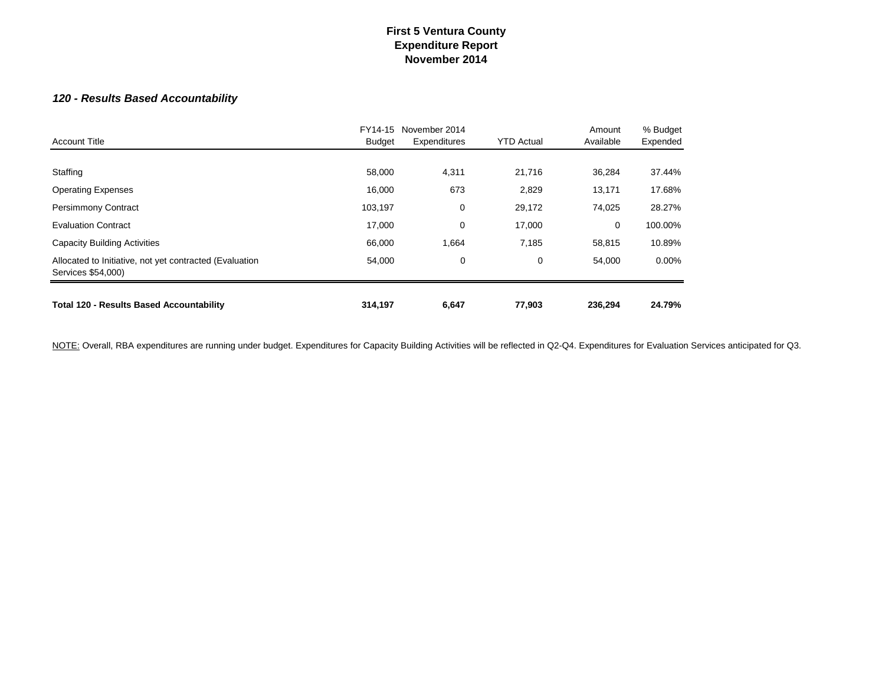# *120 - Results Based Accountability*

| <b>Account Title</b>                                                          | FY14-15<br><b>Budget</b> | November 2014<br>Expenditures | <b>YTD Actual</b> | Amount<br>Available | % Budget<br>Expended |
|-------------------------------------------------------------------------------|--------------------------|-------------------------------|-------------------|---------------------|----------------------|
| Staffing                                                                      | 58,000                   | 4,311                         | 21,716            | 36,284              | 37.44%               |
| <b>Operating Expenses</b>                                                     | 16,000                   | 673                           | 2,829             | 13,171              | 17.68%               |
| <b>Persimmony Contract</b>                                                    | 103,197                  | 0                             | 29,172            | 74,025              | 28.27%               |
| <b>Evaluation Contract</b>                                                    | 17,000                   | 0                             | 17,000            | 0                   | 100.00%              |
| <b>Capacity Building Activities</b>                                           | 66,000                   | 1,664                         | 7,185             | 58,815              | 10.89%               |
| Allocated to Initiative, not yet contracted (Evaluation<br>Services \$54,000) | 54,000                   | 0                             | 0                 | 54,000              | $0.00\%$             |
| <b>Total 120 - Results Based Accountability</b>                               | 314,197                  | 6,647                         | 77,903            | 236,294             | 24.79%               |

NOTE: Overall, RBA expenditures are running under budget. Expenditures for Capacity Building Activities will be reflected in Q2-Q4. Expenditures for Evaluation Services anticipated for Q3.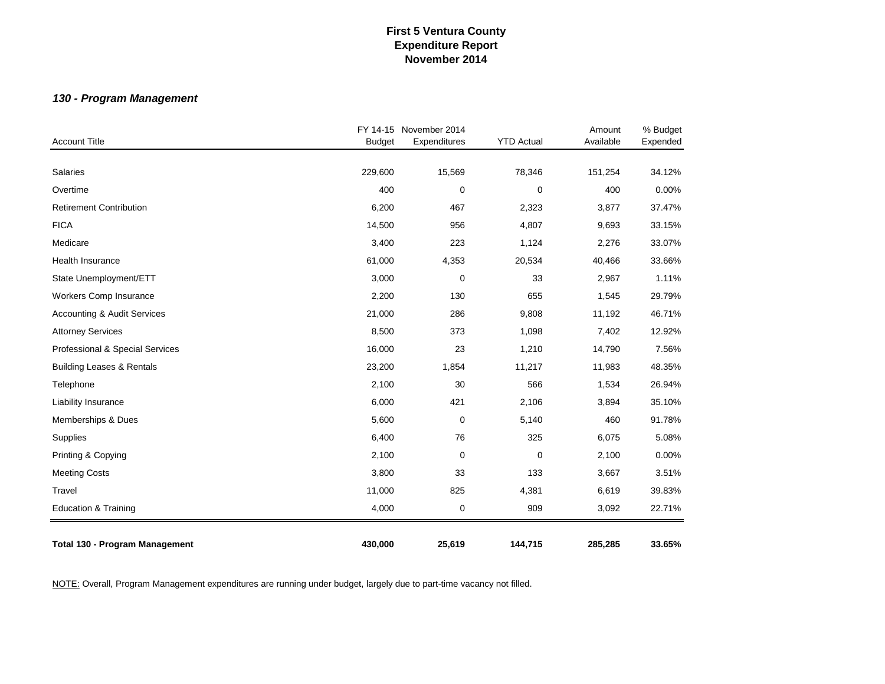# *130 - Program Management*

| <b>Account Title</b>                   | <b>Budget</b> | FY 14-15 November 2014<br>Expenditures | <b>YTD Actual</b> | Amount<br>Available | % Budget<br>Expended |
|----------------------------------------|---------------|----------------------------------------|-------------------|---------------------|----------------------|
|                                        |               |                                        |                   |                     |                      |
| Salaries                               | 229,600       | 15,569                                 | 78,346            | 151,254             | 34.12%               |
| Overtime                               | 400           | $\pmb{0}$                              | 0                 | 400                 | 0.00%                |
| <b>Retirement Contribution</b>         | 6,200         | 467                                    | 2,323             | 3,877               | 37.47%               |
| <b>FICA</b>                            | 14,500        | 956                                    | 4,807             | 9,693               | 33.15%               |
| Medicare                               | 3,400         | 223                                    | 1,124             | 2,276               | 33.07%               |
| <b>Health Insurance</b>                | 61,000        | 4,353                                  | 20,534            | 40,466              | 33.66%               |
| State Unemployment/ETT                 | 3,000         | $\mathbf 0$                            | 33                | 2,967               | 1.11%                |
| Workers Comp Insurance                 | 2,200         | 130                                    | 655               | 1,545               | 29.79%               |
| <b>Accounting &amp; Audit Services</b> | 21,000        | 286                                    | 9,808             | 11,192              | 46.71%               |
| <b>Attorney Services</b>               | 8,500         | 373                                    | 1,098             | 7,402               | 12.92%               |
| Professional & Special Services        | 16,000        | 23                                     | 1,210             | 14,790              | 7.56%                |
| <b>Building Leases &amp; Rentals</b>   | 23,200        | 1,854                                  | 11,217            | 11,983              | 48.35%               |
| Telephone                              | 2,100         | 30                                     | 566               | 1,534               | 26.94%               |
| Liability Insurance                    | 6,000         | 421                                    | 2,106             | 3,894               | 35.10%               |
| Memberships & Dues                     | 5,600         | $\mathbf 0$                            | 5,140             | 460                 | 91.78%               |
| Supplies                               | 6,400         | 76                                     | 325               | 6,075               | 5.08%                |
| Printing & Copying                     | 2,100         | $\mathbf 0$                            | $\mathbf 0$       | 2,100               | 0.00%                |
| <b>Meeting Costs</b>                   | 3,800         | 33                                     | 133               | 3,667               | 3.51%                |
| Travel                                 | 11,000        | 825                                    | 4,381             | 6,619               | 39.83%               |
| <b>Education &amp; Training</b>        | 4,000         | $\boldsymbol{0}$                       | 909               | 3,092               | 22.71%               |
| <b>Total 130 - Program Management</b>  | 430,000       | 25,619                                 | 144,715           | 285,285             | 33.65%               |

NOTE: Overall, Program Management expenditures are running under budget, largely due to part-time vacancy not filled.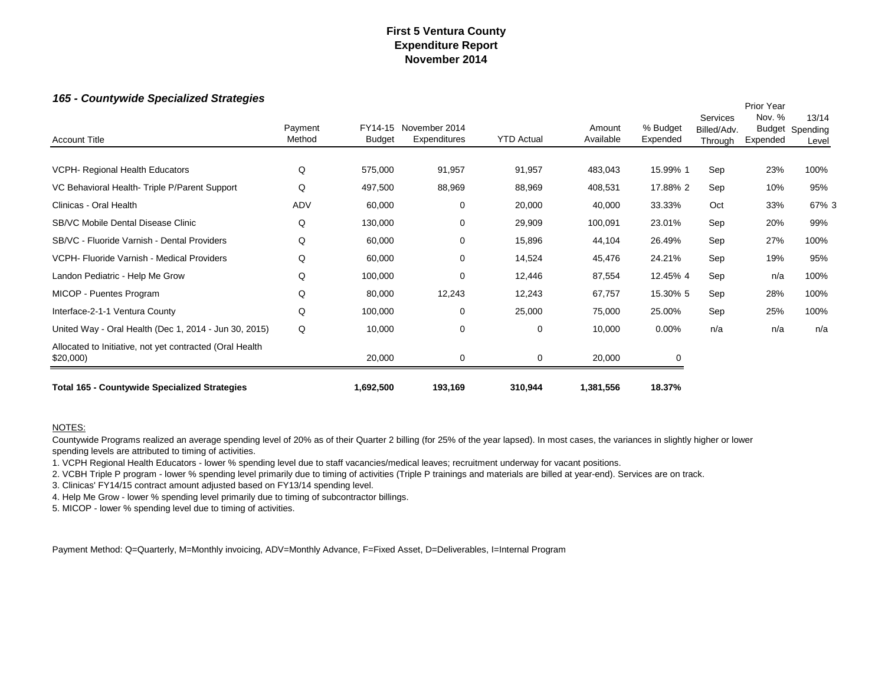### *165 - Countywide Specialized Strategies*

| 100 - County wide Specialized Strategies                             |                   |               |                                       |                   |                     |                      |                                    | Prior Year         |                                   |
|----------------------------------------------------------------------|-------------------|---------------|---------------------------------------|-------------------|---------------------|----------------------|------------------------------------|--------------------|-----------------------------------|
| <b>Account Title</b>                                                 | Payment<br>Method | <b>Budget</b> | FY14-15 November 2014<br>Expenditures | <b>YTD Actual</b> | Amount<br>Available | % Budget<br>Expended | Services<br>Billed/Adv.<br>Through | Nov. %<br>Expended | 13/14<br>Budget Spending<br>Level |
|                                                                      |                   |               |                                       |                   |                     |                      |                                    |                    |                                   |
| VCPH- Regional Health Educators                                      | Q                 | 575,000       | 91,957                                | 91,957            | 483,043             | 15.99% 1             | Sep                                | 23%                | 100%                              |
| VC Behavioral Health-Triple P/Parent Support                         | Q                 | 497,500       | 88,969                                | 88,969            | 408,531             | 17.88% 2             | Sep                                | 10%                | 95%                               |
| Clinicas - Oral Health                                               | ADV               | 60,000        | 0                                     | 20,000            | 40,000              | 33.33%               | Oct                                | 33%                | 67% 3                             |
| <b>SB/VC Mobile Dental Disease Clinic</b>                            | Q                 | 130,000       | 0                                     | 29,909            | 100,091             | 23.01%               | Sep                                | 20%                | 99%                               |
| SB/VC - Fluoride Varnish - Dental Providers                          | Q                 | 60,000        | 0                                     | 15,896            | 44,104              | 26.49%               | Sep                                | 27%                | 100%                              |
| VCPH- Fluoride Varnish - Medical Providers                           | Q                 | 60,000        | 0                                     | 14,524            | 45,476              | 24.21%               | Sep                                | 19%                | 95%                               |
| Landon Pediatric - Help Me Grow                                      | Q                 | 100,000       | 0                                     | 12,446            | 87,554              | 12.45% 4             | Sep                                | n/a                | 100%                              |
| MICOP - Puentes Program                                              | Q                 | 80,000        | 12,243                                | 12,243            | 67,757              | 15.30% 5             | Sep                                | 28%                | 100%                              |
| Interface-2-1-1 Ventura County                                       | Q                 | 100,000       | 0                                     | 25,000            | 75,000              | 25.00%               | Sep                                | 25%                | 100%                              |
| United Way - Oral Health (Dec 1, 2014 - Jun 30, 2015)                | Q                 | 10,000        | 0                                     | 0                 | 10,000              | $0.00\%$             | n/a                                | n/a                | n/a                               |
| Allocated to Initiative, not yet contracted (Oral Health<br>\$20,000 |                   | 20,000        | 0                                     | 0                 | 20,000              | 0                    |                                    |                    |                                   |
| <b>Total 165 - Countywide Specialized Strategies</b>                 |                   | 1,692,500     | 193,169                               | 310,944           | 1,381,556           | 18.37%               |                                    |                    |                                   |

#### NOTES:

Countywide Programs realized an average spending level of 20% as of their Quarter 2 billing (for 25% of the year lapsed). In most cases, the variances in slightly higher or lower spending levels are attributed to timing of activities.

1. VCPH Regional Health Educators - lower % spending level due to staff vacancies/medical leaves; recruitment underway for vacant positions.

2. VCBH Triple P program - lower % spending level primarily due to timing of activities (Triple P trainings and materials are billed at year-end). Services are on track.

3. Clinicas' FY14/15 contract amount adjusted based on FY13/14 spending level.

4. Help Me Grow - lower % spending level primarily due to timing of subcontractor billings.

5. MICOP - lower % spending level due to timing of activities.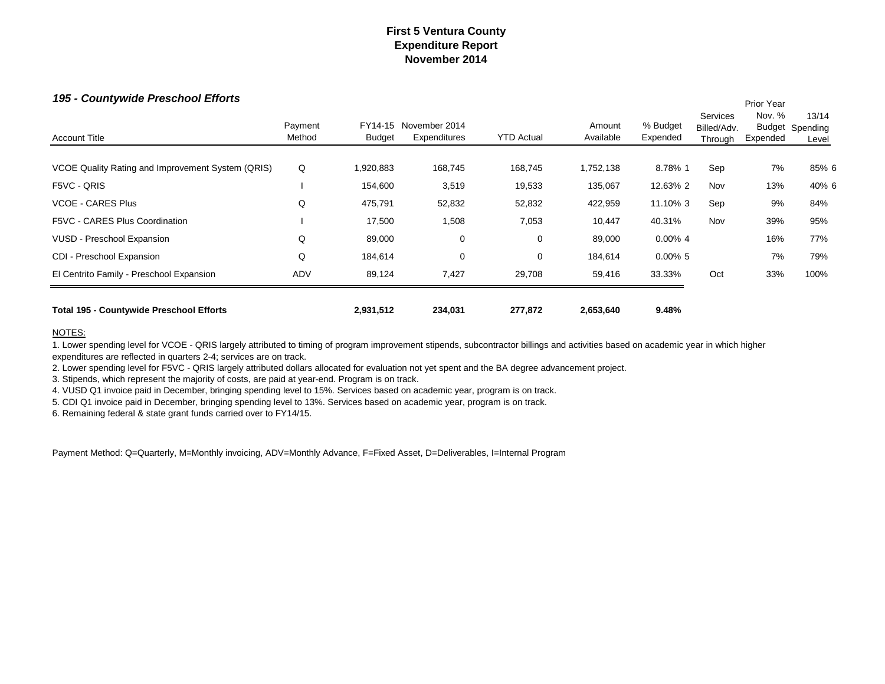Prior Year

### *195 - Countywide Preschool Efforts*

| VUSD - Preschool Expansion<br>CDI - Preschool Expansion | Q<br>Q            | 89,000<br>184,614 | 0<br>0                        | 0<br>0            | 89,000<br>184,614   | $0.00\%$ 4<br>$0.00\%$ 5 |                                    | 16%<br>7%          | 77%<br>79%                               |
|---------------------------------------------------------|-------------------|-------------------|-------------------------------|-------------------|---------------------|--------------------------|------------------------------------|--------------------|------------------------------------------|
|                                                         |                   |                   |                               |                   |                     |                          |                                    |                    |                                          |
|                                                         |                   |                   |                               |                   |                     |                          |                                    |                    |                                          |
| F5VC - CARES Plus Coordination                          |                   | 17,500            | 1,508                         | 7,053             | 10,447              | 40.31%                   | Nov                                | 39%                | 95%                                      |
| <b>VCOE - CARES Plus</b>                                | Q                 | 475,791           | 52,832                        | 52,832            | 422,959             | 11.10% 3                 | Sep                                | 9%                 | 84%                                      |
| F5VC - QRIS                                             |                   | 154,600           | 3,519                         | 19,533            | 135,067             | 12.63% 2                 | Nov                                | 13%                | 40% 6                                    |
| VCOE Quality Rating and Improvement System (QRIS)       | Q                 | 1,920,883         | 168,745                       | 168,745           | 1,752,138           | 8.78% 1                  | Sep                                | 7%                 | 85% 6                                    |
| <b>Account Title</b>                                    | Payment<br>Method | FY14-15<br>Budget | November 2014<br>Expenditures | <b>YTD Actual</b> | Amount<br>Available | % Budget<br>Expended     | Services<br>Billed/Adv.<br>Through | Nov. %<br>Expended | 13/14<br><b>Budget Spending</b><br>Level |

#### NOTES:

1. Lower spending level for VCOE - QRIS largely attributed to timing of program improvement stipends, subcontractor billings and activities based on academic year in which higher expenditures are reflected in quarters 2-4; services are on track.

2. Lower spending level for F5VC - QRIS largely attributed dollars allocated for evaluation not yet spent and the BA degree advancement project.

3. Stipends, which represent the majority of costs, are paid at year-end. Program is on track.

4. VUSD Q1 invoice paid in December, bringing spending level to 15%. Services based on academic year, program is on track.

5. CDI Q1 invoice paid in December, bringing spending level to 13%. Services based on academic year, program is on track.

6. Remaining federal & state grant funds carried over to FY14/15.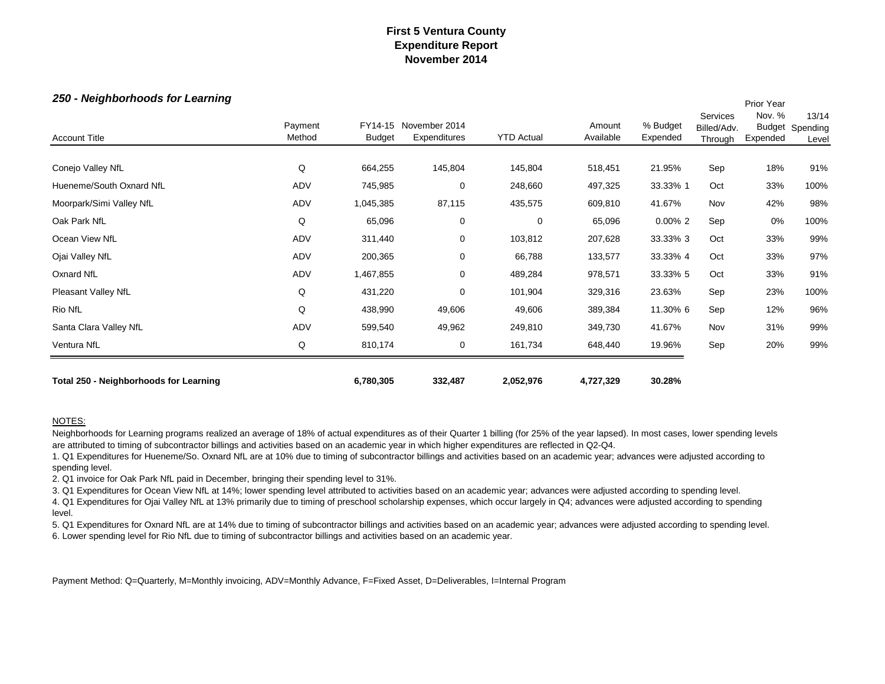Prior Year

#### *250 - Neighborhoods for Learning*

| <b>Account Title</b>                   | Payment<br>Method | FY14-15<br><b>Budget</b> | November 2014<br>Expenditures | <b>YTD Actual</b> | Amount<br>Available | % Budget<br>Expended | <b>Services</b><br>Billed/Adv.<br>Through | PIIOI Teal<br>Nov. %<br>Budget<br>Expended | 13/14<br>Spending<br>Level |
|----------------------------------------|-------------------|--------------------------|-------------------------------|-------------------|---------------------|----------------------|-------------------------------------------|--------------------------------------------|----------------------------|
| Conejo Valley NfL                      | Q                 | 664,255                  | 145,804                       | 145,804           | 518,451             | 21.95%               | Sep                                       | 18%                                        | 91%                        |
| Hueneme/South Oxnard NfL               | ADV               | 745,985                  | $\mathbf 0$                   | 248,660           | 497,325             | 33.33% 1             | Oct                                       | 33%                                        | 100%                       |
| Moorpark/Simi Valley NfL               | ADV               | 1,045,385                | 87,115                        | 435,575           | 609,810             | 41.67%               | Nov                                       | 42%                                        | 98%                        |
| Oak Park NfL                           | Q                 | 65,096                   | 0                             | $\mathbf 0$       | 65,096              | $0.00\%$ 2           | Sep                                       | 0%                                         | 100%                       |
| Ocean View NfL                         | ADV               | 311,440                  | $\mathbf 0$                   | 103,812           | 207,628             | 33.33% 3             | Oct                                       | 33%                                        | 99%                        |
| Ojai Valley NfL                        | ADV               | 200,365                  | 0                             | 66,788            | 133,577             | 33.33% 4             | Oct                                       | 33%                                        | 97%                        |
| Oxnard NfL                             | ADV               | 1,467,855                | 0                             | 489,284           | 978,571             | 33.33% 5             | Oct                                       | 33%                                        | 91%                        |
| Pleasant Valley NfL                    | Q                 | 431,220                  | $\mathbf 0$                   | 101,904           | 329,316             | 23.63%               | Sep                                       | 23%                                        | 100%                       |
| Rio NfL                                | Q                 | 438,990                  | 49,606                        | 49,606            | 389,384             | 11.30% 6             | Sep                                       | 12%                                        | 96%                        |
| Santa Clara Valley NfL                 | ADV               | 599,540                  | 49,962                        | 249,810           | 349,730             | 41.67%               | Nov                                       | 31%                                        | 99%                        |
| Ventura NfL                            | Q                 | 810,174                  | 0                             | 161,734           | 648,440             | 19.96%               | Sep                                       | 20%                                        | 99%                        |
| Total 250 - Neighborhoods for Learning |                   | 6,780,305                | 332,487                       | 2,052,976         | 4,727,329           | 30.28%               |                                           |                                            |                            |

#### NOTES:

Neighborhoods for Learning programs realized an average of 18% of actual expenditures as of their Quarter 1 billing (for 25% of the year lapsed). In most cases, lower spending levels are attributed to timing of subcontractor billings and activities based on an academic year in which higher expenditures are reflected in Q2-Q4.

1. Q1 Expenditures for Hueneme/So. Oxnard NfL are at 10% due to timing of subcontractor billings and activities based on an academic year; advances were adjusted according to spending level.

2. Q1 invoice for Oak Park NfL paid in December, bringing their spending level to 31%.

3. Q1 Expenditures for Ocean View NfL at 14%; lower spending level attributed to activities based on an academic year; advances were adjusted according to spending level.

4. Q1 Expenditures for Ojai Valley NfL at 13% primarily due to timing of preschool scholarship expenses, which occur largely in Q4; advances were adjusted according to spending level.

5. Q1 Expenditures for Oxnard NfL are at 14% due to timing of subcontractor billings and activities based on an academic year; advances were adjusted according to spending level. 6. Lower spending level for Rio NfL due to timing of subcontractor billings and activities based on an academic year.